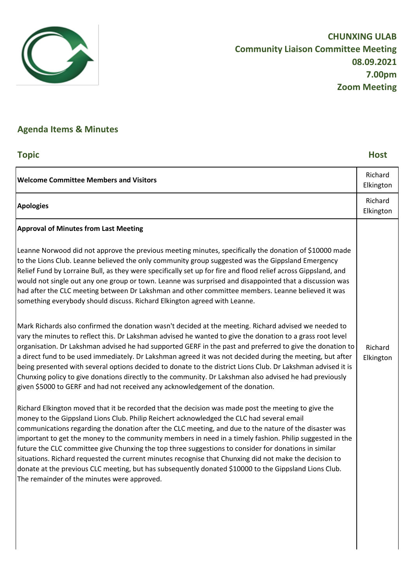

# **Agenda Items & Minutes**

## **Topic Host**

| <b>Welcome Committee Members and Visitors</b>                                                                                                                                                                                                                                                                                                                                                                                                                                                                                                                                                                                                                                                                                                                                                                                                                                                                                                                                                                                                                                                                                                                                                                                                                                                                                                                                                                                                                                                                                                                                                                                                                                                                                                                                                                                                                                                                                                                                                                                                                                                                                                                                                                                                 | Richard<br>Elkington |
|-----------------------------------------------------------------------------------------------------------------------------------------------------------------------------------------------------------------------------------------------------------------------------------------------------------------------------------------------------------------------------------------------------------------------------------------------------------------------------------------------------------------------------------------------------------------------------------------------------------------------------------------------------------------------------------------------------------------------------------------------------------------------------------------------------------------------------------------------------------------------------------------------------------------------------------------------------------------------------------------------------------------------------------------------------------------------------------------------------------------------------------------------------------------------------------------------------------------------------------------------------------------------------------------------------------------------------------------------------------------------------------------------------------------------------------------------------------------------------------------------------------------------------------------------------------------------------------------------------------------------------------------------------------------------------------------------------------------------------------------------------------------------------------------------------------------------------------------------------------------------------------------------------------------------------------------------------------------------------------------------------------------------------------------------------------------------------------------------------------------------------------------------------------------------------------------------------------------------------------------------|----------------------|
| <b>Apologies</b>                                                                                                                                                                                                                                                                                                                                                                                                                                                                                                                                                                                                                                                                                                                                                                                                                                                                                                                                                                                                                                                                                                                                                                                                                                                                                                                                                                                                                                                                                                                                                                                                                                                                                                                                                                                                                                                                                                                                                                                                                                                                                                                                                                                                                              | Richard<br>Elkington |
| <b>Approval of Minutes from Last Meeting</b><br>Leanne Norwood did not approve the previous meeting minutes, specifically the donation of \$10000 made<br>to the Lions Club. Leanne believed the only community group suggested was the Gippsland Emergency<br>Relief Fund by Lorraine Bull, as they were specifically set up for fire and flood relief across Gippsland, and<br>would not single out any one group or town. Leanne was surprised and disappointed that a discussion was<br>had after the CLC meeting between Dr Lakshman and other committee members. Leanne believed it was<br>something everybody should discuss. Richard Elkington agreed with Leanne.<br>Mark Richards also confirmed the donation wasn't decided at the meeting. Richard advised we needed to<br>vary the minutes to reflect this. Dr Lakshman advised he wanted to give the donation to a grass root level<br>organisation. Dr Lakshman advised he had supported GERF in the past and preferred to give the donation to<br>a direct fund to be used immediately. Dr Lakshman agreed it was not decided during the meeting, but after<br>being presented with several options decided to donate to the district Lions Club. Dr Lakshman advised it is<br>Chunxing policy to give donations directly to the community. Dr Lakshman also advised he had previously<br>given \$5000 to GERF and had not received any acknowledgement of the donation.<br>Richard Elkington moved that it be recorded that the decision was made post the meeting to give the<br>money to the Gippsland Lions Club. Philip Reichert acknowledged the CLC had several email<br>communications regarding the donation after the CLC meeting, and due to the nature of the disaster was<br>important to get the money to the community members in need in a timely fashion. Philip suggested in the<br>future the CLC committee give Chunxing the top three suggestions to consider for donations in similar<br>situations. Richard requested the current minutes recognise that Chunxing did not make the decision to<br>donate at the previous CLC meeting, but has subsequently donated \$10000 to the Gippsland Lions Club.<br>The remainder of the minutes were approved. | Richard<br>Elkington |
|                                                                                                                                                                                                                                                                                                                                                                                                                                                                                                                                                                                                                                                                                                                                                                                                                                                                                                                                                                                                                                                                                                                                                                                                                                                                                                                                                                                                                                                                                                                                                                                                                                                                                                                                                                                                                                                                                                                                                                                                                                                                                                                                                                                                                                               |                      |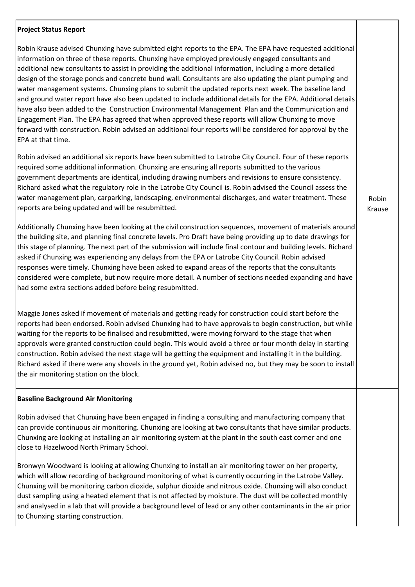#### **Project Status Report**

Robin Krause advised Chunxing have submitted eight reports to the EPA. The EPA have requested additional information on three of these reports. Chunxing have employed previously engaged consultants and additional new consultants to assist in providing the additional information, including a more detailed design of the storage ponds and concrete bund wall. Consultants are also updating the plant pumping and water management systems. Chunxing plans to submit the updated reports next week. The baseline land and ground water report have also been updated to include additional details for the EPA. Additional details have also been added to the Construction Environmental Management Plan and the Communication and Engagement Plan. The EPA has agreed that when approved these reports will allow Chunxing to move forward with construction. Robin advised an additional four reports will be considered for approval by the EPA at that time.

Robin advised an additional six reports have been submitted to Latrobe City Council. Four of these reports required some additional information. Chunxing are ensuring all reports submitted to the various government departments are identical, including drawing numbers and revisions to ensure consistency. Richard asked what the regulatory role in the Latrobe City Council is. Robin advised the Council assess the water management plan, carparking, landscaping, environmental discharges, and water treatment. These reports are being updated and will be resubmitted.

Additionally Chunxing have been looking at the civil construction sequences, movement of materials around the building site, and planning final concrete levels. Pro Draft have being providing up to date drawings for this stage of planning. The next part of the submission will include final contour and building levels. Richard asked if Chunxing was experiencing any delays from the EPA or Latrobe City Council. Robin advised responses were timely. Chunxing have been asked to expand areas of the reports that the consultants considered were complete, but now require more detail. A number of sections needed expanding and have had some extra sections added before being resubmitted.

Maggie Jones asked if movement of materials and getting ready for construction could start before the reports had been endorsed. Robin advised Chunxing had to have approvals to begin construction, but while waiting for the reports to be finalised and resubmitted, were moving forward to the stage that when approvals were granted construction could begin. This would avoid a three or four month delay in starting construction. Robin advised the next stage will be getting the equipment and installing it in the building. Richard asked if there were any shovels in the ground yet, Robin advised no, but they may be soon to install the air monitoring station on the block.

### **Baseline Background Air Monitoring**

Robin advised that Chunxing have been engaged in finding a consulting and manufacturing company that can provide continuous air monitoring. Chunxing are looking at two consultants that have similar products. Chunxing are looking at installing an air monitoring system at the plant in the south east corner and one close to Hazelwood North Primary School.

Bronwyn Woodward is looking at allowing Chunxing to install an air monitoring tower on her property, which will allow recording of background monitoring of what is currently occurring in the Latrobe Valley. Chunxing will be monitoring carbon dioxide, sulphur dioxide and nitrous oxide. Chunxing will also conduct dust sampling using a heated element that is not affected by moisture. The dust will be collected monthly and analysed in a lab that will provide a background level of lead or any other contaminants in the air prior to Chunxing starting construction.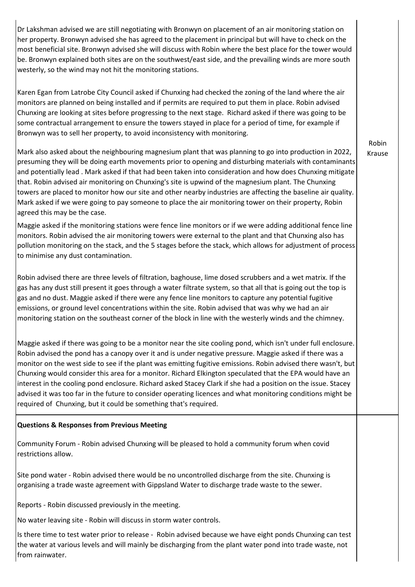Dr Lakshman advised we are still negotiating with Bronwyn on placement of an air monitoring station on her property. Bronwyn advised she has agreed to the placement in principal but will have to check on the most beneficial site. Bronwyn advised she will discuss with Robin where the best place for the tower would be. Bronwyn explained both sites are on the southwest/east side, and the prevailing winds are more south westerly, so the wind may not hit the monitoring stations.

Karen Egan from Latrobe City Council asked if Chunxing had checked the zoning of the land where the air monitors are planned on being installed and if permits are required to put them in place. Robin advised Chunxing are looking at sites before progressing to the next stage. Richard asked if there was going to be some contractual arrangement to ensure the towers stayed in place for a period of time, for example if Bronwyn was to sell her property, to avoid inconsistency with monitoring.

Mark also asked about the neighbouring magnesium plant that was planning to go into production in 2022, presuming they will be doing earth movements prior to opening and disturbing materials with contaminants and potentially lead . Mark asked if that had been taken into consideration and how does Chunxing mitigate that. Robin advised air monitoring on Chunxing's site is upwind of the magnesium plant. The Chunxing towers are placed to monitor how our site and other nearby industries are affecting the baseline air quality. Mark asked if we were going to pay someone to place the air monitoring tower on their property, Robin agreed this may be the case.

Maggie asked if the monitoring stations were fence line monitors or if we were adding additional fence line monitors. Robin advised the air monitoring towers were external to the plant and that Chunxing also has pollution monitoring on the stack, and the 5 stages before the stack, which allows for adjustment of process to minimise any dust contamination.

Robin advised there are three levels of filtration, baghouse, lime dosed scrubbers and a wet matrix. If the gas has any dust still present it goes through a water filtrate system, so that all that is going out the top is gas and no dust. Maggie asked if there were any fence line monitors to capture any potential fugitive emissions, or ground level concentrations within the site. Robin advised that was why we had an air monitoring station on the southeast corner of the block in line with the westerly winds and the chimney.

Maggie asked if there was going to be a monitor near the site cooling pond, which isn't under full enclosure. Robin advised the pond has a canopy over it and is under negative pressure. Maggie asked if there was a monitor on the west side to see if the plant was emitting fugitive emissions. Robin advised there wasn't, but Chunxing would consider this area for a monitor. Richard Elkington speculated that the EPA would have an interest in the cooling pond enclosure. Richard asked Stacey Clark if she had a position on the issue. Stacey advised it was too far in the future to consider operating licences and what monitoring conditions might be required of Chunxing, but it could be something that's required.

### **Questions & Responses from Previous Meeting**

Community Forum - Robin advised Chunxing will be pleased to hold a community forum when covid restrictions allow.

Site pond water - Robin advised there would be no uncontrolled discharge from the site. Chunxing is organising a trade waste agreement with Gippsland Water to discharge trade waste to the sewer.

Reports - Robin discussed previously in the meeting.

No water leaving site - Robin will discuss in storm water controls.

Is there time to test water prior to release - Robin advised because we have eight ponds Chunxing can test the water at various levels and will mainly be discharging from the plant water pond into trade waste, not from rainwater.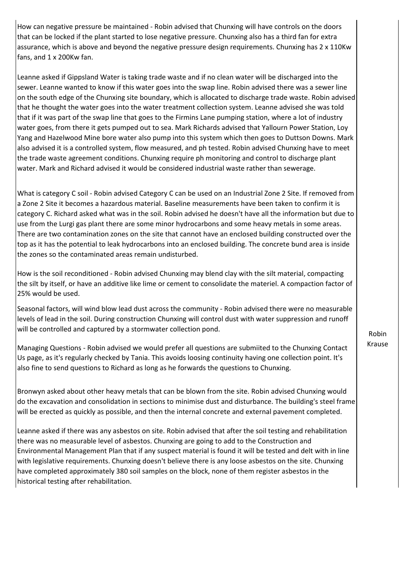How can negative pressure be maintained - Robin advised that Chunxing will have controls on the doors that can be locked if the plant started to lose negative pressure. Chunxing also has a third fan for extra assurance, which is above and beyond the negative pressure design requirements. Chunxing has 2 x 110Kw fans, and 1 x 200Kw fan.

Leanne asked if Gippsland Water is taking trade waste and if no clean water will be discharged into the sewer. Leanne wanted to know if this water goes into the swap line. Robin advised there was a sewer line on the south edge of the Chunxing site boundary, which is allocated to discharge trade waste. Robin advised that he thought the water goes into the water treatment collection system. Leanne advised she was told that if it was part of the swap line that goes to the Firmins Lane pumping station, where a lot of industry water goes, from there it gets pumped out to sea. Mark Richards advised that Yallourn Power Station, Loy Yang and Hazelwood Mine bore water also pump into this system which then goes to Duttson Downs. Mark also advised it is a controlled system, flow measured, and ph tested. Robin advised Chunxing have to meet the trade waste agreement conditions. Chunxing require ph monitoring and control to discharge plant water. Mark and Richard advised it would be considered industrial waste rather than sewerage.

What is category C soil - Robin advised Category C can be used on an Industrial Zone 2 Site. If removed from a Zone 2 Site it becomes a hazardous material. Baseline measurements have been taken to confirm it is category C. Richard asked what was in the soil. Robin advised he doesn't have all the information but due to use from the Lurgi gas plant there are some minor hydrocarbons and some heavy metals in some areas. There are two contamination zones on the site that cannot have an enclosed building constructed over the top as it has the potential to leak hydrocarbons into an enclosed building. The concrete bund area is inside the zones so the contaminated areas remain undisturbed.

How is the soil reconditioned - Robin advised Chunxing may blend clay with the silt material, compacting the silt by itself, or have an additive like lime or cement to consolidate the materiel. A compaction factor of 25% would be used.

Seasonal factors, will wind blow lead dust across the community - Robin advised there were no measurable levels of lead in the soil. During construction Chunxing will control dust with water suppression and runoff will be controlled and captured by a stormwater collection pond.

Managing Questions - Robin advised we would prefer all questions are submiited to the Chunxing Contact Us page, as it's regularly checked by Tania. This avoids loosing continuity having one collection point. It's also fine to send questions to Richard as long as he forwards the questions to Chunxing.

Bronwyn asked about other heavy metals that can be blown from the site. Robin advised Chunxing would do the excavation and consolidation in sections to minimise dust and disturbance. The building's steel frame will be erected as quickly as possible, and then the internal concrete and external pavement completed.

Leanne asked if there was any asbestos on site. Robin advised that after the soil testing and rehabilitation there was no measurable level of asbestos. Chunxing are going to add to the Construction and Environmental Management Plan that if any suspect material is found it will be tested and delt with in line with legislative requirements. Chunxing doesn't believe there is any loose asbestos on the site. Chunxing have completed approximately 380 soil samples on the block, none of them register asbestos in the historical testing after rehabilitation.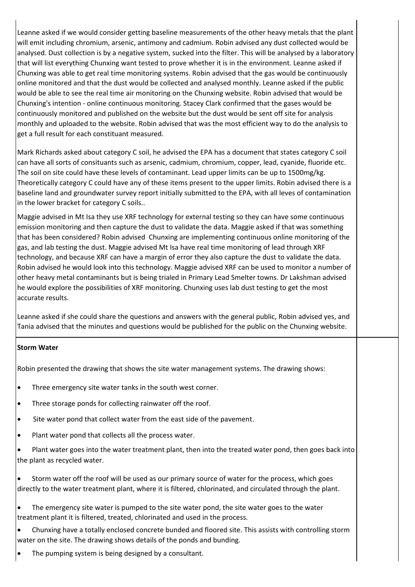Leanne asked if we would consider getting baseline measurements of the other heavy metals that the plant will emit including chromium, arsenic, antimony and cadmium. Robin advised any dust collected would be analysed. Dust collection is by a negative system, sucked into the filter. This will be analysed by a laboratory that will list everything Chunxing want tested to prove whether it is in the environment. Leanne asked if Chunxing was able to get real time monitoring systems. Robin advised that the gas would be continuously online monitored and that the dust would be collected and analysed monthly. Leanne asked if the public would be able to see the real time air monitoring on the Chunxing website. Robin advised that would be Chunxing's intention - online continuous monitoring. Stacey Clark confirmed that the gases would be continuously monitored and published on the website but the dust would be sent off site for analysis monthly and uploaded to the website. Robin advised that was the most efficient way to do the analysis to get a full result for each constituant measured.

Mark Richards asked about category C soil, he advised the EPA has a document that states category C soil can have all sorts of consituants such as arsenic, cadmium, chromium, copper, lead, cyanide, fluoride etc. The soil on site could have these levels of contaminant. Lead upper limits can be up to 1500mg/kg. Theoretically category C could have any of these items present to the upper limits. Robin advised there is a baseline land and groundwater survey report initially submitted to the EPA, with all leves of contamination in the lower bracket for category C soils..

Maggie advised in Mt Isa they use XRF technology for external testing so they can have some continuous emission monitoring and then capture the dust to validate the data. Maggie asked if that was something that has been considered? Robin advised Chunxing are implementing continuous online monitoring of the gas, and lab testing the dust. Maggie advised Mt Isa have real time monitoring of lead through XRF technology, and because XRF can have a margin of error they also capture the dust to validate the data. Robin advised he would look into this technology. Maggie advised XRF can be used to monitor a number of other heavy metal contaminants but is being trialed in Primary Lead Smelter towns. Dr Lakshman advised he would explore the possibilities of XRF monitoring. Chunxing uses lab dust testing to get the most accurate results.

Leanne asked if she could share the questions and answers with the general public, Robin advised yes, and Tania advised that the minutes and questions would be published for the public on the Chunxing website.

### **Storm Water**

Robin presented the drawing that shows the site water management systems. The drawing shows:

- Three emergency site water tanks in the south west corner.
- Three storage ponds for collecting rainwater off the roof.
- Site water pond that collect water from the east side of the pavement.
- Plant water pond that collects all the process water.
- Plant water goes into the water treatment plant, then into the treated water pond, then goes back into the plant as recycled water.
- Storm water off the roof will be used as our primary source of water for the process, which goes directly to the water treatment plant, where it is filtered, chlorinated, and circulated through the plant.
- The emergency site water is pumped to the site water pond, the site water goes to the water treatment plant it is filtered, treated, chlorinated and used in the process.
- Chunxing have a totally enclosed concrete bunded and floored site. This assists with controlling storm water on the site. The drawing shows details of the ponds and bunding.
- The pumping system is being designed by a consultant.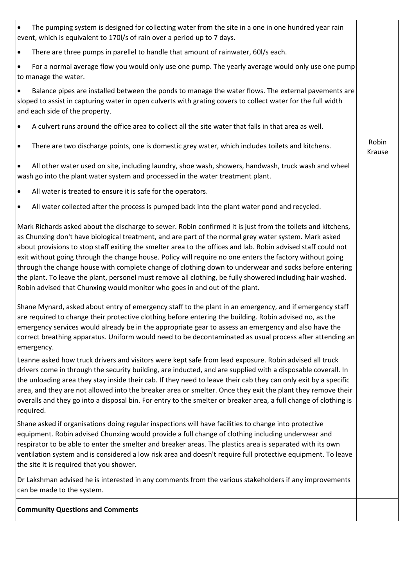- The pumping system is designed for collecting water from the site in a one in one hundred year rain event, which is equivalent to 170l/s of rain over a period up to 7 days.
- There are three pumps in parellel to handle that amount of rainwater, 60l/s each.
- For a normal average flow you would only use one pump. The yearly average would only use one pump to manage the water.

• Balance pipes are installed between the ponds to manage the water flows. The external pavements are sloped to assist in capturing water in open culverts with grating covers to collect water for the full width and each side of the property.

- A culvert runs around the office area to collect all the site water that falls in that area as well.
- There are two discharge points, one is domestic grey water, which includes toilets and kitchens.

• All other water used on site, including laundry, shoe wash, showers, handwash, truck wash and wheel wash go into the plant water system and processed in the water treatment plant.

- All water is treated to ensure it is safe for the operators.
- All water collected after the process is pumped back into the plant water pond and recycled.

Mark Richards asked about the discharge to sewer. Robin confirmed it is just from the toilets and kitchens, as Chunxing don't have biological treatment, and are part of the normal grey water system. Mark asked about provisions to stop staff exiting the smelter area to the offices and lab. Robin advised staff could not exit without going through the change house. Policy will require no one enters the factory without going through the change house with complete change of clothing down to underwear and socks before entering the plant. To leave the plant, personel must remove all clothing, be fully showered including hair washed. Robin advised that Chunxing would monitor who goes in and out of the plant.

Shane Mynard, asked about entry of emergency staff to the plant in an emergency, and if emergency staff are required to change their protective clothing before entering the building. Robin advised no, as the emergency services would already be in the appropriate gear to assess an emergency and also have the correct breathing apparatus. Uniform would need to be decontaminated as usual process after attending an emergency.

Leanne asked how truck drivers and visitors were kept safe from lead exposure. Robin advised all truck drivers come in through the security building, are inducted, and are supplied with a disposable coverall. In the unloading area they stay inside their cab. If they need to leave their cab they can only exit by a specific area, and they are not allowed into the breaker area or smelter. Once they exit the plant they remove their overalls and they go into a disposal bin. For entry to the smelter or breaker area, a full change of clothing is required.

Shane asked if organisations doing regular inspections will have facilities to change into protective equipment. Robin advised Chunxing would provide a full change of clothing including underwear and respirator to be able to enter the smelter and breaker areas. The plastics area is separated with its own ventilation system and is considered a low risk area and doesn't require full protective equipment. To leave the site it is required that you shower.

Dr Lakshman advised he is interested in any comments from the various stakeholders if any improvements can be made to the system.

**Community Questions and Comments**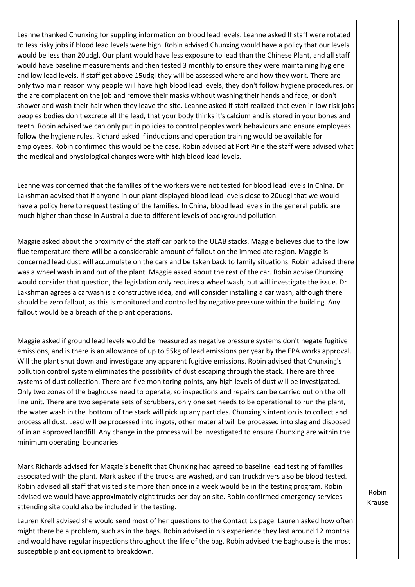Leanne thanked Chunxing for suppling information on blood lead levels. Leanne asked If staff were rotated to less risky jobs if blood lead levels were high. Robin advised Chunxing would have a policy that our levels would be less than 20udgl. Our plant would have less exposure to lead than the Chinese Plant, and all staff would have baseline measurements and then tested 3 monthly to ensure they were maintaining hygiene and low lead levels. If staff get above 15udgl they will be assessed where and how they work. There are only two main reason why people will have high blood lead levels, they don't follow hygiene procedures, or the are complacent on the job and remove their masks without washing their hands and face, or don't shower and wash their hair when they leave the site. Leanne asked if staff realized that even in low risk jobs peoples bodies don't excrete all the lead, that your body thinks it's calcium and is stored in your bones and teeth. Robin advised we can only put in policies to control peoples work behaviours and ensure employees follow the hygiene rules. Richard asked if inductions and operation training would be available for employees. Robin confirmed this would be the case. Robin advised at Port Pirie the staff were advised what the medical and physiological changes were with high blood lead levels.

Leanne was concerned that the families of the workers were not tested for blood lead levels in China. Dr Lakshman advised that if anyone in our plant displayed blood lead levels close to 20udgl that we would have a policy here to request testing of the families. In China, blood lead levels in the general public are much higher than those in Australia due to different levels of background pollution.

Maggie asked about the proximity of the staff car park to the ULAB stacks. Maggie believes due to the low flue temperature there will be a considerable amount of fallout on the immediate region. Maggie is concerned lead dust will accumulate on the cars and be taken back to family situations. Robin advised there was a wheel wash in and out of the plant. Maggie asked about the rest of the car. Robin advise Chunxing would consider that question, the legislation only requires a wheel wash, but will investigate the issue. Dr Lakshman agrees a carwash is a constructive idea, and will consider installing a car wash, although there should be zero fallout, as this is monitored and controlled by negative pressure within the building. Any fallout would be a breach of the plant operations.

Maggie asked if ground lead levels would be measured as negative pressure systems don't negate fugitive emissions, and is there is an allowance of up to 55kg of lead emissions per year by the EPA works approval. Will the plant shut down and investigate any apparent fugitive emissions. Robin advised that Chunxing's pollution control system eliminates the possibility of dust escaping through the stack. There are three systems of dust collection. There are five monitoring points, any high levels of dust will be investigated. Only two zones of the baghouse need to operate, so inspections and repairs can be carried out on the off line unit. There are two seperate sets of scrubbers, only one set needs to be operational to run the plant, the water wash in the bottom of the stack will pick up any particles. Chunxing's intention is to collect and process all dust. Lead will be processed into ingots, other material will be processed into slag and disposed of in an approved landfill. Any change in the process will be investigated to ensure Chunxing are within the minimum operating boundaries.

Mark Richards advised for Maggie's benefit that Chunxing had agreed to baseline lead testing of families associated with the plant. Mark asked if the trucks are washed, and can truckdrivers also be blood tested. Robin advised all staff that visited site more than once in a week would be in the testing program. Robin advised we would have approximately eight trucks per day on site. Robin confirmed emergency services attending site could also be included in the testing.

Lauren Krell advised she would send most of her questions to the Contact Us page. Lauren asked how often might there be a problem, such as in the bags. Robin advised in his experience they last around 12 months and would have regular inspections throughout the life of the bag. Robin advised the baghouse is the most susceptible plant equipment to breakdown.